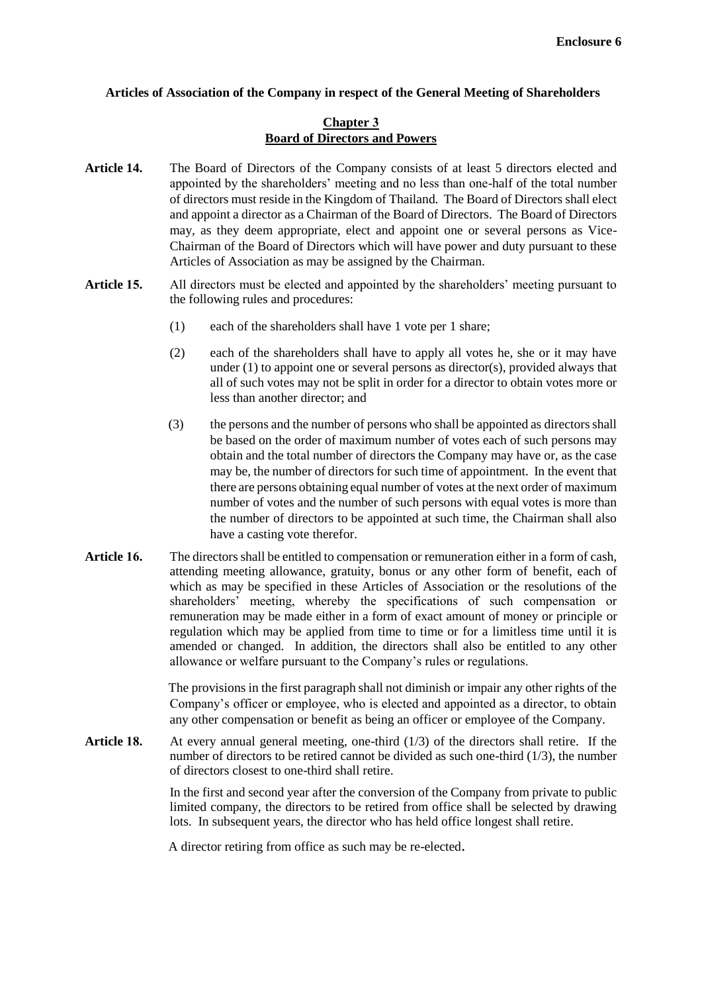## **Articles of Association of the Company in respect of the General Meeting of Shareholders**

## **Chapter 3 Board of Directors and Powers**

- **Article 14.** The Board of Directors of the Company consists of at least 5 directors elected and appointed by the shareholders' meeting and no less than one-half of the total number of directors must reside in the Kingdom of Thailand. The Board of Directors shall elect and appoint a director as a Chairman of the Board of Directors. The Board of Directors may, as they deem appropriate, elect and appoint one or several persons as Vice-Chairman of the Board of Directors which will have power and duty pursuant to these Articles of Association as may be assigned by the Chairman.
- **Article 15.** All directors must be elected and appointed by the shareholders' meeting pursuant to the following rules and procedures:
	- (1) each of the shareholders shall have 1 vote per 1 share;
	- (2) each of the shareholders shall have to apply all votes he, she or it may have under (1) to appoint one or several persons as director(s), provided always that all of such votes may not be split in order for a director to obtain votes more or less than another director; and
	- (3) the persons and the number of persons who shall be appointed as directors shall be based on the order of maximum number of votes each of such persons may obtain and the total number of directors the Company may have or, as the case may be, the number of directors for such time of appointment. In the event that there are persons obtaining equal number of votes at the next order of maximum number of votes and the number of such persons with equal votes is more than the number of directors to be appointed at such time, the Chairman shall also have a casting vote therefor.
- **Article 16.** The directors shall be entitled to compensation or remuneration either in a form of cash, attending meeting allowance, gratuity, bonus or any other form of benefit, each of which as may be specified in these Articles of Association or the resolutions of the shareholders' meeting, whereby the specifications of such compensation or remuneration may be made either in a form of exact amount of money or principle or regulation which may be applied from time to time or for a limitless time until it is amended or changed. In addition, the directors shall also be entitled to any other allowance or welfare pursuant to the Company's rules or regulations.

The provisions in the first paragraph shall not diminish or impair any other rights of the Company's officer or employee, who is elected and appointed as a director, to obtain any other compensation or benefit as being an officer or employee of the Company.

**Article 18.** At every annual general meeting, one-third (1/3) of the directors shall retire. If the number of directors to be retired cannot be divided as such one-third (1/3), the number of directors closest to one-third shall retire.

> In the first and second year after the conversion of the Company from private to public limited company, the directors to be retired from office shall be selected by drawing lots. In subsequent years, the director who has held office longest shall retire.

A director retiring from office as such may be re-elected.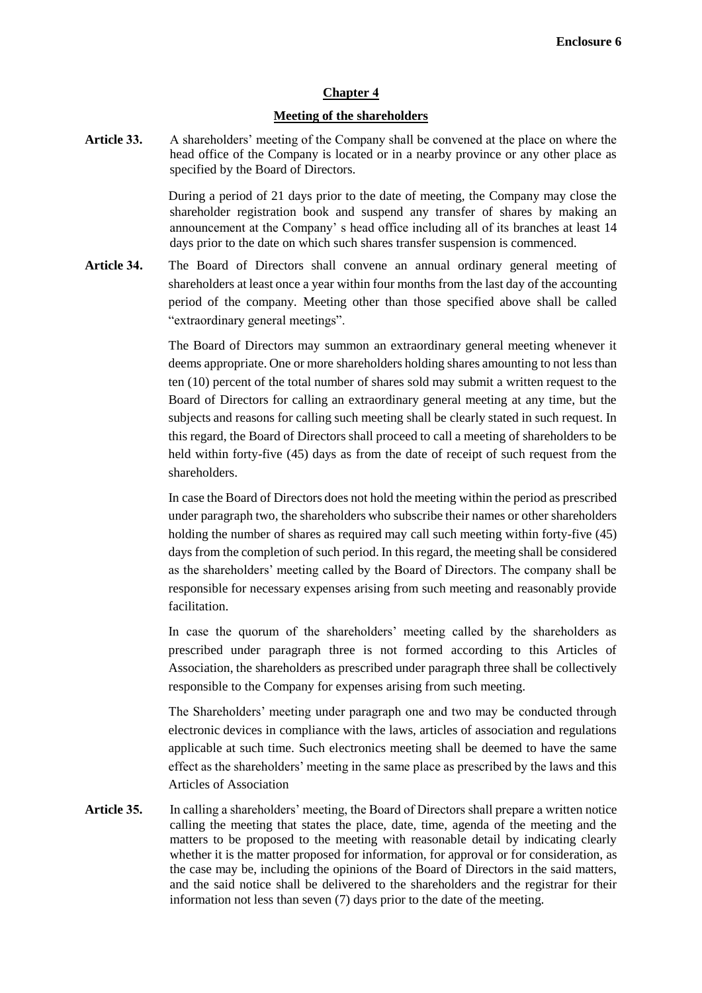## **Chapter 4**

## **Meeting of the shareholders**

**Article 33.** A shareholders' meeting of the Company shall be convened at the place on where the head office of the Company is located or in a nearby province or any other place as specified by the Board of Directors.

> During a period of 21 days prior to the date of meeting, the Company may close the shareholder registration book and suspend any transfer of shares by making an announcement at the Company' s head office including all of its branches at least 14 days prior to the date on which such shares transfer suspension is commenced.

**Article 34.** The Board of Directors shall convene an annual ordinary general meeting of shareholders at least once a year within four months from the last day of the accounting period of the company. Meeting other than those specified above shall be called "extraordinary general meetings".

> The Board of Directors may summon an extraordinary general meeting whenever it deems appropriate. One or more shareholders holding shares amounting to not less than ten (10) percent of the total number of shares sold may submit a written request to the Board of Directors for calling an extraordinary general meeting at any time, but the subjects and reasons for calling such meeting shall be clearly stated in such request. In this regard, the Board of Directors shall proceed to call a meeting of shareholders to be held within forty-five (45) days as from the date of receipt of such request from the shareholders.

> In case the Board of Directors does not hold the meeting within the period as prescribed under paragraph two, the shareholders who subscribe their names or other shareholders holding the number of shares as required may call such meeting within forty-five (45) days from the completion of such period. In this regard, the meeting shall be considered as the shareholders' meeting called by the Board of Directors. The company shall be responsible for necessary expenses arising from such meeting and reasonably provide facilitation.

> In case the quorum of the shareholders' meeting called by the shareholders as prescribed under paragraph three is not formed according to this Articles of Association, the shareholders as prescribed under paragraph three shall be collectively responsible to the Company for expenses arising from such meeting.

> The Shareholders' meeting under paragraph one and two may be conducted through electronic devices in compliance with the laws, articles of association and regulations applicable at such time. Such electronics meeting shall be deemed to have the same effect as the shareholders' meeting in the same place as prescribed by the laws and this Articles of Association

**Article 35.** In calling a shareholders' meeting, the Board of Directors shall prepare a written notice calling the meeting that states the place, date, time, agenda of the meeting and the matters to be proposed to the meeting with reasonable detail by indicating clearly whether it is the matter proposed for information, for approval or for consideration, as the case may be, including the opinions of the Board of Directors in the said matters, and the said notice shall be delivered to the shareholders and the registrar for their information not less than seven (7) days prior to the date of the meeting.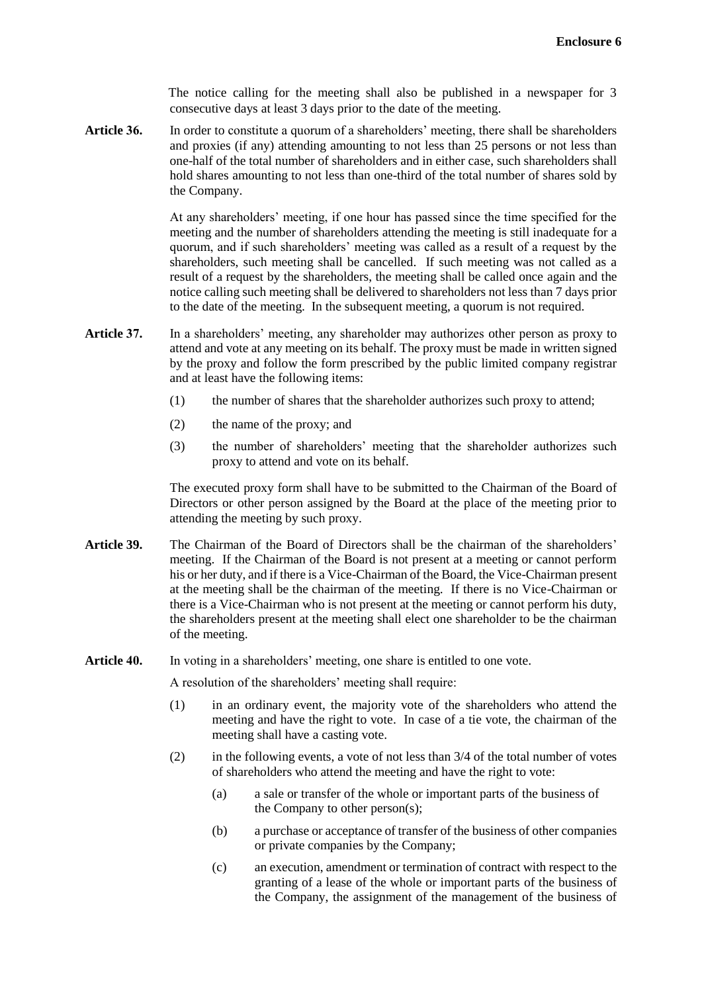The notice calling for the meeting shall also be published in a newspaper for 3 consecutive days at least 3 days prior to the date of the meeting.

**Article 36.** In order to constitute a quorum of a shareholders' meeting, there shall be shareholders and proxies (if any) attending amounting to not less than 25 persons or not less than one-half of the total number of shareholders and in either case, such shareholders shall hold shares amounting to not less than one-third of the total number of shares sold by the Company.

> At any shareholders' meeting, if one hour has passed since the time specified for the meeting and the number of shareholders attending the meeting is still inadequate for a quorum, and if such shareholders' meeting was called as a result of a request by the shareholders, such meeting shall be cancelled. If such meeting was not called as a result of a request by the shareholders, the meeting shall be called once again and the notice calling such meeting shall be delivered to shareholders not less than 7 days prior to the date of the meeting. In the subsequent meeting, a quorum is not required.

- **Article** 37. In a shareholders' meeting, any shareholder may authorizes other person as proxy to attend and vote at any meeting on its behalf. The proxy must be made in written signed by the proxy and follow the form prescribed by the public limited company registrar and at least have the following items:
	- (1) the number of shares that the shareholder authorizes such proxy to attend;
	- (2) the name of the proxy; and
	- (3) the number of shareholders' meeting that the shareholder authorizes such proxy to attend and vote on its behalf.

The executed proxy form shall have to be submitted to the Chairman of the Board of Directors or other person assigned by the Board at the place of the meeting prior to attending the meeting by such proxy.

- **Article 39.** The Chairman of the Board of Directors shall be the chairman of the shareholders' meeting. If the Chairman of the Board is not present at a meeting or cannot perform his or her duty, and if there is a Vice-Chairman of the Board, the Vice-Chairman present at the meeting shall be the chairman of the meeting. If there is no Vice-Chairman or there is a Vice-Chairman who is not present at the meeting or cannot perform his duty, the shareholders present at the meeting shall elect one shareholder to be the chairman of the meeting.
- **Article 40.** In voting in a shareholders' meeting, one share is entitled to one vote.

A resolution of the shareholders' meeting shall require:

- (1) in an ordinary event, the majority vote of the shareholders who attend the meeting and have the right to vote. In case of a tie vote, the chairman of the meeting shall have a casting vote.
- (2) in the following events, a vote of not less than 3/4 of the total number of votes of shareholders who attend the meeting and have the right to vote:
	- (a) a sale or transfer of the whole or important parts of the business of the Company to other person(s);
	- (b) a purchase or acceptance of transfer of the business of other companies or private companies by the Company;
	- (c) an execution, amendment or termination of contract with respect to the granting of a lease of the whole or important parts of the business of the Company, the assignment of the management of the business of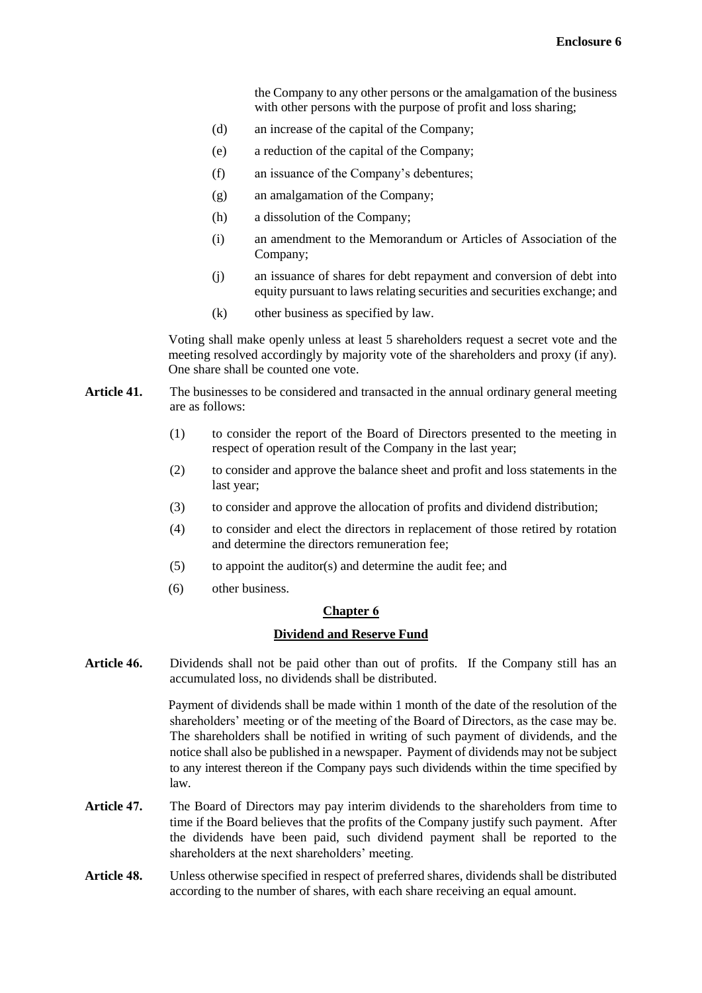the Company to any other persons or the amalgamation of the business with other persons with the purpose of profit and loss sharing;

- (d) an increase of the capital of the Company;
- (e) a reduction of the capital of the Company;
- (f) an issuance of the Company's debentures;
- (g) an amalgamation of the Company;
- (h) a dissolution of the Company;
- (i) an amendment to the Memorandum or Articles of Association of the Company;
- (j) an issuance of shares for debt repayment and conversion of debt into equity pursuant to laws relating securities and securities exchange; and
- (k) other business as specified by law.

Voting shall make openly unless at least 5 shareholders request a secret vote and the meeting resolved accordingly by majority vote of the shareholders and proxy (if any). One share shall be counted one vote.

- **Article 41.** The businesses to be considered and transacted in the annual ordinary general meeting are as follows:
	- (1) to consider the report of the Board of Directors presented to the meeting in respect of operation result of the Company in the last year;
	- (2) to consider and approve the balance sheet and profit and loss statements in the last year;
	- (3) to consider and approve the allocation of profits and dividend distribution;
	- (4) to consider and elect the directors in replacement of those retired by rotation and determine the directors remuneration fee;
	- (5) to appoint the auditor(s) and determine the audit fee; and
	- (6) other business.

#### **Chapter 6**

### **Dividend and Reserve Fund**

**Article 46.** Dividends shall not be paid other than out of profits. If the Company still has an accumulated loss, no dividends shall be distributed.

> Payment of dividends shall be made within 1 month of the date of the resolution of the shareholders' meeting or of the meeting of the Board of Directors, as the case may be. The shareholders shall be notified in writing of such payment of dividends, and the notice shall also be published in a newspaper. Payment of dividends may not be subject to any interest thereon if the Company pays such dividends within the time specified by law.

- **Article 47.** The Board of Directors may pay interim dividends to the shareholders from time to time if the Board believes that the profits of the Company justify such payment. After the dividends have been paid, such dividend payment shall be reported to the shareholders at the next shareholders' meeting.
- **Article 48.** Unless otherwise specified in respect of preferred shares, dividends shall be distributed according to the number of shares, with each share receiving an equal amount.